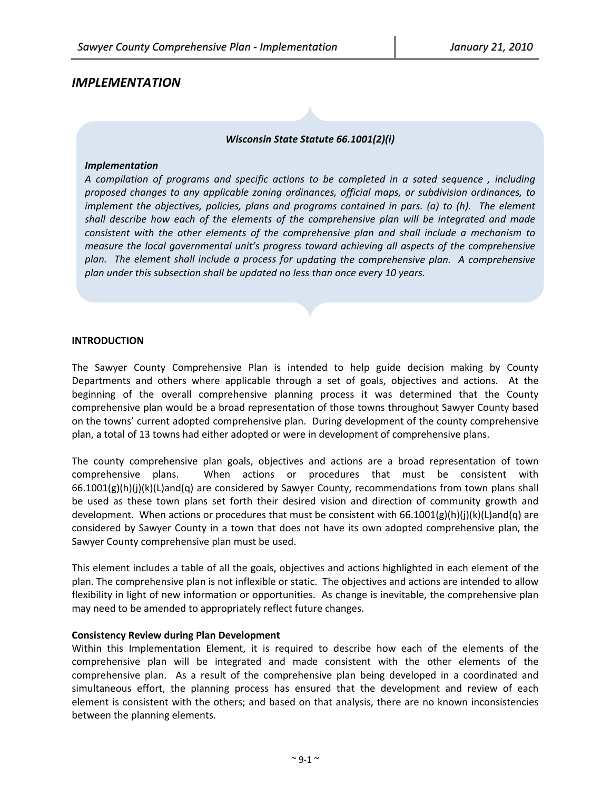# *IMPLEMENTATION*

# *Wisconsin State Statute 66.1001(2)(i)*

#### *Implementation*

*A compilation of programs and specific actions to be completed in a sated sequence , including proposed changes to any applicable zoning ordinances, official maps, or subdivision ordinances, to implement the objectives, policies, plans and programs contained in pars. (a) to (h). The element shall describe how each of the elements of the comprehensive plan will be integrated and made consistent with the other elements of the comprehensive plan and shall include a mechanism to measure the local governmental unit's progress toward achieving all aspects of the comprehensive plan. The element shall include a process for updating the comprehensive plan. A comprehensive plan under this subsection shall be updated no less than once every 10 years.*

#### **INTRODUCTION**

The Sawyer County Comprehensive Plan is intended to help guide decision making by County Departments and others where applicable through a set of goals, objectives and actions. At the beginning of the overall comprehensive planning process it was determined that the County comprehensive plan would be a broad representation of those towns throughout Sawyer County based on the towns' current adopted comprehensive plan. During development of the county comprehensive plan, a total of 13 towns had either adopted or were in development of comprehensive plans.

The county comprehensive plan goals, objectives and actions are a broad representation of town comprehensive plans. When actions or procedures that must be consistent with 66.1001(g)(h)(j)(k)(L)and(q) are considered by Sawyer County, recommendations from town plans shall be used as these town plans set forth their desired vision and direction of community growth and development. When actions or procedures that must be consistent with  $66.1001(g)(h)(j)(k)(L)$ and(q) are considered by Sawyer County in a town that does not have its own adopted comprehensive plan, the Sawyer County comprehensive plan must be used.

This element includes a table of all the goals, objectives and actions highlighted in each element of the plan. The comprehensive plan is not inflexible or static. The objectives and actions are intended to allow flexibility in light of new information or opportunities. As change is inevitable, the comprehensive plan may need to be amended to appropriately reflect future changes.

#### **Consistency Review during Plan Development**

Within this Implementation Element, it is required to describe how each of the elements of the comprehensive plan will be integrated and made consistent with the other elements of the comprehensive plan. As a result of the comprehensive plan being developed in a coordinated and simultaneous effort, the planning process has ensured that the development and review of each element is consistent with the others; and based on that analysis, there are no known inconsistencies between the planning elements.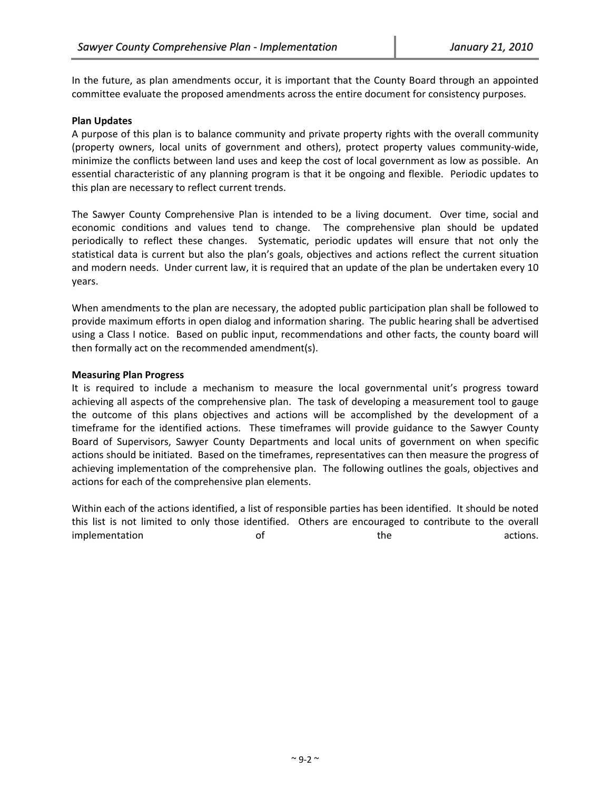In the future, as plan amendments occur, it is important that the County Board through an appointed committee evaluate the proposed amendments across the entire document for consistency purposes.

#### **Plan Updates**

A purpose of this plan is to balance community and private property rights with the overall community (property owners, local units of government and others), protect property values community-wide, minimize the conflicts between land uses and keep the cost of local government as low as possible. An essential characteristic of any planning program is that it be ongoing and flexible. Periodic updates to this plan are necessary to reflect current trends.

The Sawyer County Comprehensive Plan is intended to be a living document. Over time, social and economic conditions and values tend to change. The comprehensive plan should be updated periodically to reflect these changes. Systematic, periodic updates will ensure that not only the statistical data is current but also the plan's goals, objectives and actions reflect the current situation and modern needs. Under current law, it is required that an update of the plan be undertaken every 10 years.

When amendments to the plan are necessary, the adopted public participation plan shall be followed to provide maximum efforts in open dialog and information sharing. The public hearing shall be advertised using a Class I notice. Based on public input, recommendations and other facts, the county board will then formally act on the recommended amendment(s).

#### **Measuring Plan Progress**

It is required to include a mechanism to measure the local governmental unit's progress toward achieving all aspects of the comprehensive plan. The task of developing a measurement tool to gauge the outcome of this plans objectives and actions will be accomplished by the development of a timeframe for the identified actions. These timeframes will provide guidance to the Sawyer County Board of Supervisors, Sawyer County Departments and local units of government on when specific actions should be initiated. Based on the timeframes, representatives can then measure the progress of achieving implementation of the comprehensive plan. The following outlines the goals, objectives and actions for each of the comprehensive plan elements.

Within each of the actions identified, a list of responsible parties has been identified. It should be noted this list is not limited to only those identified. Others are encouraged to contribute to the overall implementation of of the the actions.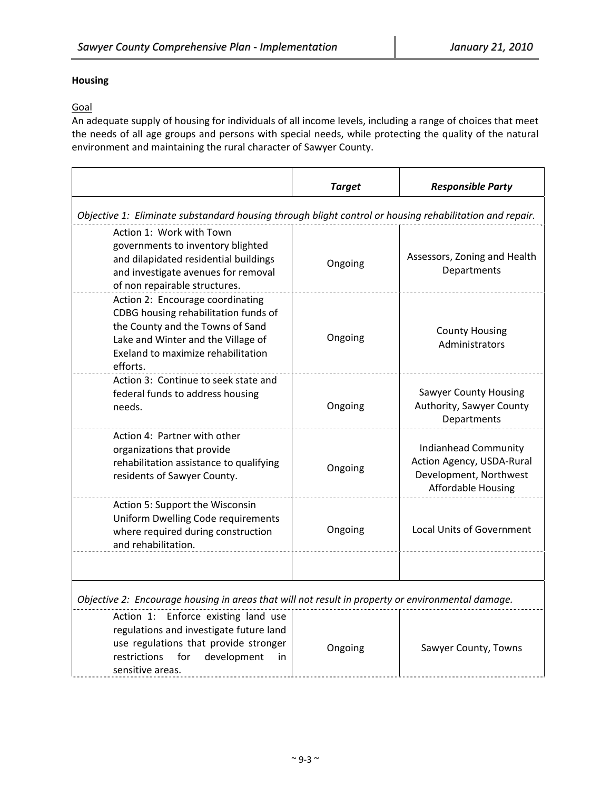# **Housing**

# **Goal**

An adequate supply of housing for individuals of all income levels, including a range of choices that meet the needs of all age groups and persons with special needs, while protecting the quality of the natural environment and maintaining the rural character of Sawyer County.

|                                                                                                                                                                                                      | <b>Target</b> | <b>Responsible Party</b>                                                                                        |  |
|------------------------------------------------------------------------------------------------------------------------------------------------------------------------------------------------------|---------------|-----------------------------------------------------------------------------------------------------------------|--|
| Objective 1: Eliminate substandard housing through blight control or housing rehabilitation and repair.                                                                                              |               |                                                                                                                 |  |
| Action 1: Work with Town<br>governments to inventory blighted<br>and dilapidated residential buildings<br>and investigate avenues for removal<br>of non repairable structures.                       | Ongoing       | Assessors, Zoning and Health<br>Departments                                                                     |  |
| Action 2: Encourage coordinating<br>CDBG housing rehabilitation funds of<br>the County and the Towns of Sand<br>Lake and Winter and the Village of<br>Exeland to maximize rehabilitation<br>efforts. | Ongoing       | <b>County Housing</b><br>Administrators                                                                         |  |
| Action 3: Continue to seek state and<br>federal funds to address housing<br>needs.                                                                                                                   | Ongoing       | <b>Sawyer County Housing</b><br>Authority, Sawyer County<br>Departments                                         |  |
| Action 4: Partner with other<br>organizations that provide<br>rehabilitation assistance to qualifying<br>residents of Sawyer County.                                                                 | Ongoing       | <b>Indianhead Community</b><br>Action Agency, USDA-Rural<br>Development, Northwest<br><b>Affordable Housing</b> |  |
| Action 5: Support the Wisconsin<br>Uniform Dwelling Code requirements<br>where required during construction<br>and rehabilitation.                                                                   | Ongoing       | <b>Local Units of Government</b>                                                                                |  |
| Objective 2: Encourage housing in areas that will not result in property or environmental damage.                                                                                                    |               |                                                                                                                 |  |
| Action 1: Enforce existing land use<br>regulations and investigate future land<br>use regulations that provide stronger<br>restrictions<br>for<br>development<br><i>in</i><br>sensitive areas.       | Ongoing       | Sawyer County, Towns                                                                                            |  |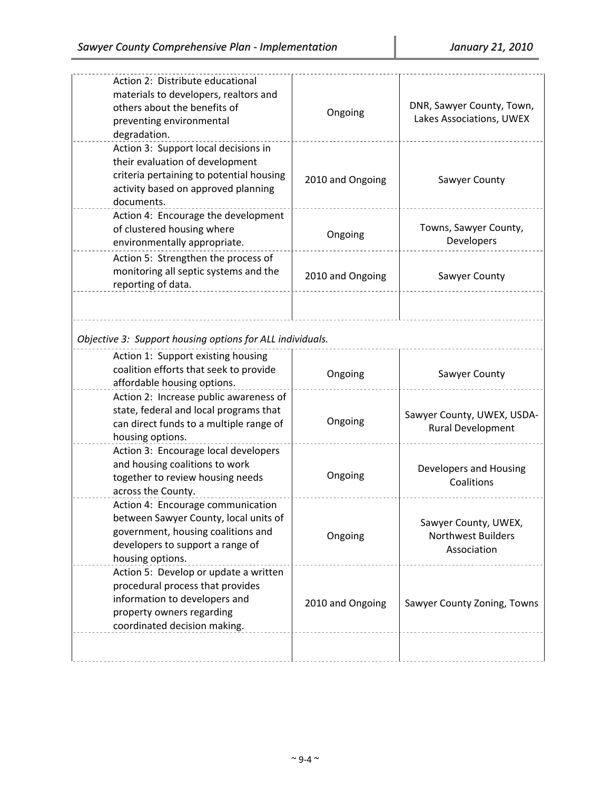| Action 2: Distribute educational<br>materials to developers, realtors and<br>others about the benefits of<br>preventing environmental<br>degradation.                    | Ongoing          | DNR, Sawyer County, Town,<br>Lakes Associations, UWEX            |
|--------------------------------------------------------------------------------------------------------------------------------------------------------------------------|------------------|------------------------------------------------------------------|
| Action 3: Support local decisions in<br>their evaluation of development<br>criteria pertaining to potential housing<br>activity based on approved planning<br>documents. | 2010 and Ongoing | Sawyer County                                                    |
| Action 4: Encourage the development<br>of clustered housing where<br>environmentally appropriate.                                                                        | Ongoing          | Towns, Sawyer County,<br>Developers                              |
| Action 5: Strengthen the process of<br>monitoring all septic systems and the<br>reporting of data.                                                                       | 2010 and Ongoing | Sawyer County                                                    |
|                                                                                                                                                                          |                  |                                                                  |
| Objective 3: Support housing options for ALL individuals.                                                                                                                |                  |                                                                  |
| Action 1: Support existing housing<br>coalition efforts that seek to provide<br>affordable housing options.                                                              | Ongoing          | Sawyer County                                                    |
| Action 2: Increase public awareness of<br>state, federal and local programs that<br>can direct funds to a multiple range of<br>housing options.                          | Ongoing          | Sawyer County, UWEX, USDA-<br>Rural Development                  |
| Action 3: Encourage local developers<br>and housing coalitions to work<br>together to review housing needs<br>across the County.                                         | Ongoing          | Developers and Housing<br>Coalitions                             |
| Action 4: Encourage communication<br>between Sawyer County, local units of<br>government, housing coalitions and<br>developers to support a range of<br>housing options. | Ongoing          | Sawyer County, UWEX,<br><b>Northwest Builders</b><br>Association |
| Action 5: Develop or update a written<br>procedural process that provides<br>information to developers and<br>property owners regarding<br>coordinated decision making.  | 2010 and Ongoing | Sawyer County Zoning, Towns                                      |
|                                                                                                                                                                          |                  |                                                                  |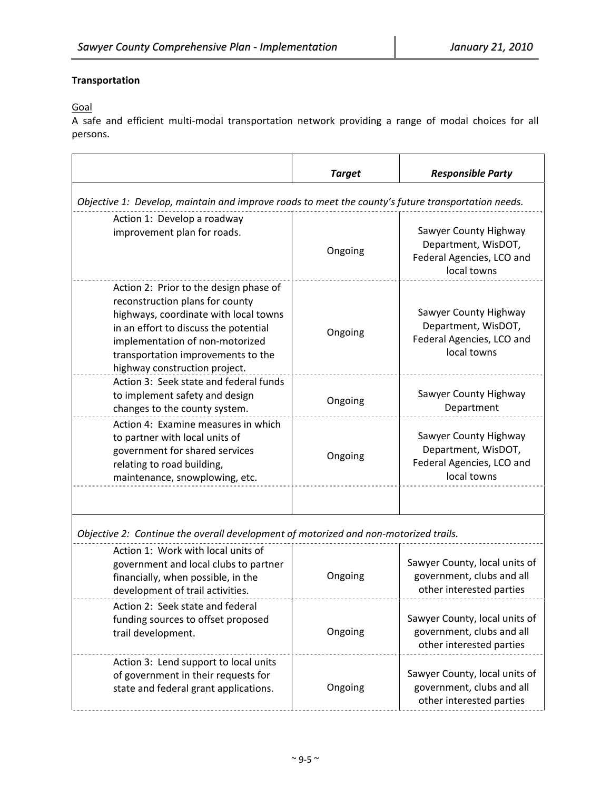# **Transportation**

Goal

A safe and efficient multi‐modal transportation network providing a range of modal choices for all persons.

|                                                                                                                                                                                                                                                                       | <b>Target</b> | <b>Responsible Party</b>                                                                 |  |
|-----------------------------------------------------------------------------------------------------------------------------------------------------------------------------------------------------------------------------------------------------------------------|---------------|------------------------------------------------------------------------------------------|--|
| Objective 1: Develop, maintain and improve roads to meet the county's future transportation needs.                                                                                                                                                                    |               |                                                                                          |  |
| Action 1: Develop a roadway<br>improvement plan for roads.                                                                                                                                                                                                            | Ongoing       | Sawyer County Highway<br>Department, WisDOT,<br>Federal Agencies, LCO and<br>local towns |  |
| Action 2: Prior to the design phase of<br>reconstruction plans for county<br>highways, coordinate with local towns<br>in an effort to discuss the potential<br>implementation of non-motorized<br>transportation improvements to the<br>highway construction project. | Ongoing       | Sawyer County Highway<br>Department, WisDOT,<br>Federal Agencies, LCO and<br>local towns |  |
| Action 3: Seek state and federal funds<br>to implement safety and design<br>changes to the county system.                                                                                                                                                             | Ongoing       | Sawyer County Highway<br>Department                                                      |  |
| Action 4: Examine measures in which<br>to partner with local units of<br>government for shared services<br>relating to road building,<br>maintenance, snowplowing, etc.                                                                                               | Ongoing       | Sawyer County Highway<br>Department, WisDOT,<br>Federal Agencies, LCO and<br>local towns |  |
|                                                                                                                                                                                                                                                                       |               |                                                                                          |  |
| Objective 2: Continue the overall development of motorized and non-motorized trails.<br>Action 1: Work with local units of<br>government and local clubs to partner<br>financially, when possible, in the<br>development of trail activities.                         | Ongoing       | Sawyer County, local units of<br>government, clubs and all<br>other interested parties   |  |
| Action 2: Seek state and federal<br>funding sources to offset proposed<br>trail development.                                                                                                                                                                          | Ongoing       | Sawyer County, local units of<br>government, clubs and all<br>other interested parties   |  |
| Action 3: Lend support to local units<br>of government in their requests for<br>state and federal grant applications.                                                                                                                                                 | Ongoing       | Sawyer County, local units of<br>government, clubs and all<br>other interested parties   |  |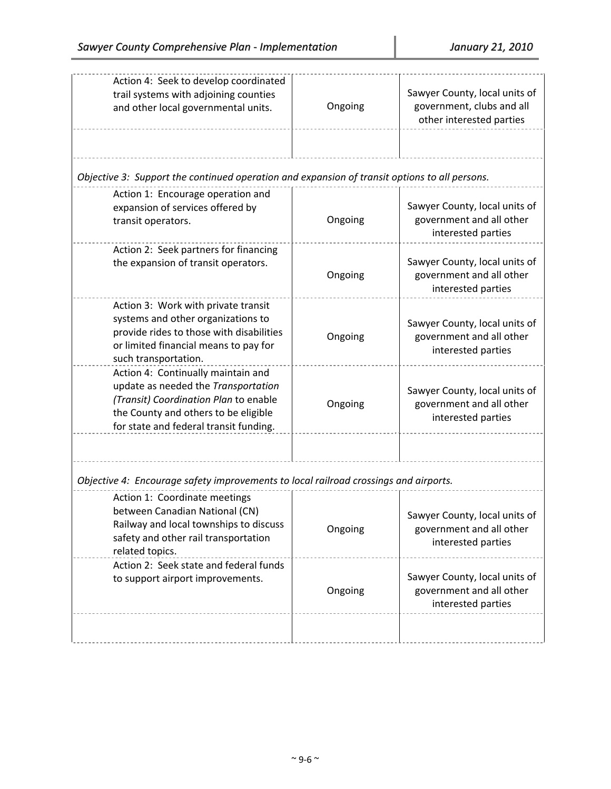| Action 4: Seek to develop coordinated<br>trail systems with adjoining counties<br>and other local governmental units.                                                                                | Ongoing | Sawyer County, local units of<br>government, clubs and all<br>other interested parties |
|------------------------------------------------------------------------------------------------------------------------------------------------------------------------------------------------------|---------|----------------------------------------------------------------------------------------|
| Objective 3: Support the continued operation and expansion of transit options to all persons.                                                                                                        |         |                                                                                        |
| Action 1: Encourage operation and<br>expansion of services offered by<br>transit operators.                                                                                                          | Ongoing | Sawyer County, local units of<br>government and all other<br>interested parties        |
| Action 2: Seek partners for financing<br>the expansion of transit operators.                                                                                                                         | Ongoing | Sawyer County, local units of<br>government and all other<br>interested parties        |
| Action 3: Work with private transit<br>systems and other organizations to<br>provide rides to those with disabilities<br>or limited financial means to pay for<br>such transportation.               | Ongoing | Sawyer County, local units of<br>government and all other<br>interested parties        |
| Action 4: Continually maintain and<br>update as needed the Transportation<br>(Transit) Coordination Plan to enable<br>the County and others to be eligible<br>for state and federal transit funding. | Ongoing | Sawyer County, local units of<br>government and all other<br>interested parties        |
|                                                                                                                                                                                                      |         |                                                                                        |
| Objective 4: Encourage safety improvements to local railroad crossings and airports.                                                                                                                 |         |                                                                                        |
| Action 1: Coordinate meetings<br>between Canadian National (CN)<br>Railway and local townships to discuss<br>safety and other rail transportation<br>related topics.                                 | Ongoing | Sawyer County, local units of<br>government and all other<br>interested parties        |
| Action 2: Seek state and federal funds<br>to support airport improvements.                                                                                                                           | Ongoing | Sawyer County, local units of<br>government and all other<br>interested parties        |
|                                                                                                                                                                                                      |         |                                                                                        |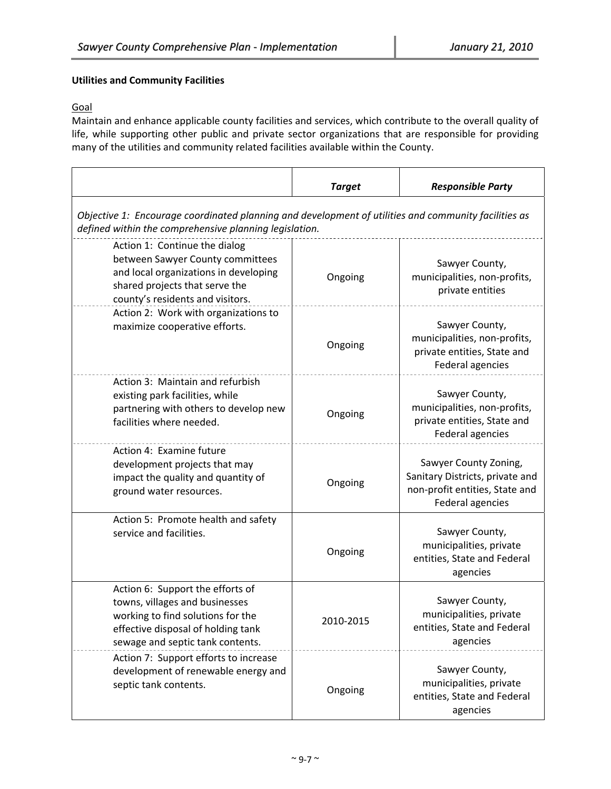# **Utilities and Community Facilities**

# **Goal**

Maintain and enhance applicable county facilities and services, which contribute to the overall quality of life, while supporting other public and private sector organizations that are responsible for providing many of the utilities and community related facilities available within the County.

|                                                                                                                                                                                   | <b>Target</b> | <b>Responsible Party</b>                                                                                       |
|-----------------------------------------------------------------------------------------------------------------------------------------------------------------------------------|---------------|----------------------------------------------------------------------------------------------------------------|
| Objective 1: Encourage coordinated planning and development of utilities and community facilities as<br>defined within the comprehensive planning legislation.                    |               |                                                                                                                |
| Action 1: Continue the dialog<br>between Sawyer County committees<br>and local organizations in developing<br>shared projects that serve the<br>county's residents and visitors.  | Ongoing       | Sawyer County,<br>municipalities, non-profits,<br>private entities                                             |
| Action 2: Work with organizations to<br>maximize cooperative efforts.                                                                                                             | Ongoing       | Sawyer County,<br>municipalities, non-profits,<br>private entities, State and<br><b>Federal agencies</b>       |
| Action 3: Maintain and refurbish<br>existing park facilities, while<br>partnering with others to develop new<br>facilities where needed.                                          | Ongoing       | Sawyer County,<br>municipalities, non-profits,<br>private entities, State and<br>Federal agencies              |
| Action 4: Examine future<br>development projects that may<br>impact the quality and quantity of<br>ground water resources.                                                        | Ongoing       | Sawyer County Zoning,<br>Sanitary Districts, private and<br>non-profit entities, State and<br>Federal agencies |
| Action 5: Promote health and safety<br>service and facilities.                                                                                                                    | Ongoing       | Sawyer County,<br>municipalities, private<br>entities, State and Federal<br>agencies                           |
| Action 6: Support the efforts of<br>towns, villages and businesses<br>working to find solutions for the<br>effective disposal of holding tank<br>sewage and septic tank contents. | 2010-2015     | Sawyer County,<br>municipalities, private<br>entities, State and Federal<br>agencies                           |
| Action 7: Support efforts to increase<br>development of renewable energy and<br>septic tank contents.                                                                             | Ongoing       | Sawyer County,<br>municipalities, private<br>entities, State and Federal<br>agencies                           |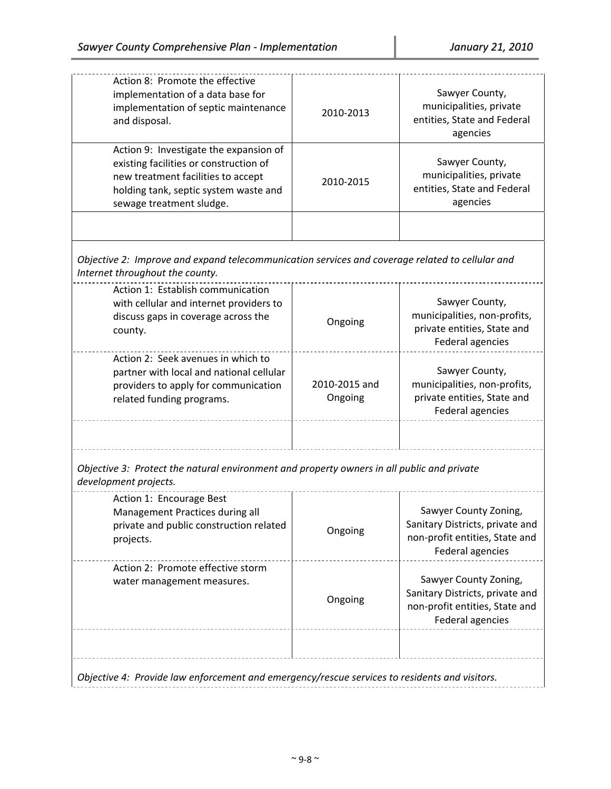| Action 8: Promote the effective<br>implementation of a data base for<br>implementation of septic maintenance<br>and disposal.                                                               | 2010-2013                | Sawyer County,<br>municipalities, private<br>entities, State and Federal<br>agencies                           |
|---------------------------------------------------------------------------------------------------------------------------------------------------------------------------------------------|--------------------------|----------------------------------------------------------------------------------------------------------------|
| Action 9: Investigate the expansion of<br>existing facilities or construction of<br>new treatment facilities to accept<br>holding tank, septic system waste and<br>sewage treatment sludge. | 2010-2015                | Sawyer County,<br>municipalities, private<br>entities, State and Federal<br>agencies                           |
|                                                                                                                                                                                             |                          |                                                                                                                |
| Objective 2: Improve and expand telecommunication services and coverage related to cellular and<br>Internet throughout the county.                                                          |                          |                                                                                                                |
| Action 1: Establish communication<br>with cellular and internet providers to<br>discuss gaps in coverage across the<br>county.                                                              | Ongoing                  | Sawyer County,<br>municipalities, non-profits,<br>private entities, State and<br>Federal agencies              |
| Action 2: Seek avenues in which to<br>partner with local and national cellular<br>providers to apply for communication<br>related funding programs.                                         | 2010-2015 and<br>Ongoing | Sawyer County,<br>municipalities, non-profits,<br>private entities, State and<br><b>Federal agencies</b>       |
|                                                                                                                                                                                             |                          |                                                                                                                |
| Objective 3: Protect the natural environment and property owners in all public and private<br>development projects.                                                                         |                          |                                                                                                                |
| Action 1: Encourage Best<br>Management Practices during all<br>private and public construction related<br>projects.                                                                         | Ongoing                  | Sawyer County Zoning,<br>Sanitary Districts, private and<br>non-profit entities, State and<br>Federal agencies |
| Action 2: Promote effective storm<br>water management measures.                                                                                                                             | Ongoing                  | Sawyer County Zoning,<br>Sanitary Districts, private and<br>non-profit entities, State and<br>Federal agencies |
|                                                                                                                                                                                             |                          |                                                                                                                |
| Objective 4: Provide law enforcement and emergency/rescue services to residents and visitors.                                                                                               |                          |                                                                                                                |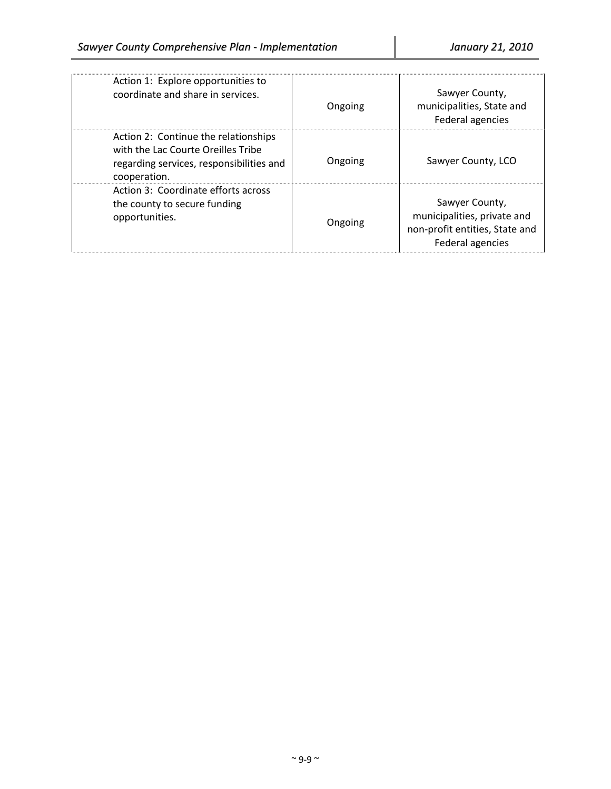| Action 1: Explore opportunities to<br>coordinate and share in services.                                                                | Ongoing | Sawyer County,<br>municipalities, State and<br>Federal agencies                                     |
|----------------------------------------------------------------------------------------------------------------------------------------|---------|-----------------------------------------------------------------------------------------------------|
| Action 2: Continue the relationships<br>with the Lac Courte Oreilles Tribe<br>regarding services, responsibilities and<br>cooperation. | Ongoing | Sawyer County, LCO                                                                                  |
| Action 3: Coordinate efforts across<br>the county to secure funding<br>opportunities.                                                  | Ongoing | Sawyer County,<br>municipalities, private and<br>non-profit entities, State and<br>Federal agencies |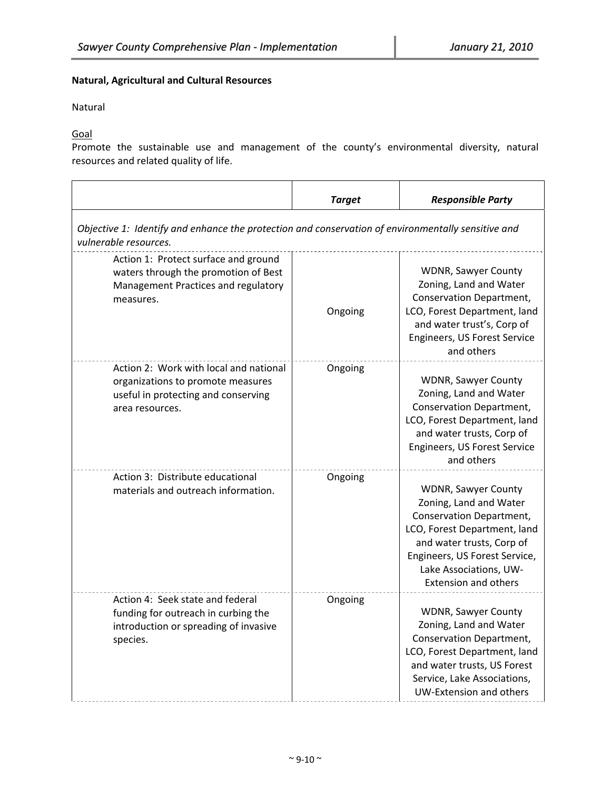## **Natural, Agricultural and Cultural Resources**

Natural

Goal

Promote the sustainable use and management of the county's environmental diversity, natural resources and related quality of life.

|                                                                                                                                       | <b>Target</b> | <b>Responsible Party</b>                                                                                                                                                                                                                |  |
|---------------------------------------------------------------------------------------------------------------------------------------|---------------|-----------------------------------------------------------------------------------------------------------------------------------------------------------------------------------------------------------------------------------------|--|
| Objective 1: Identify and enhance the protection and conservation of environmentally sensitive and<br>vulnerable resources.           |               |                                                                                                                                                                                                                                         |  |
| Action 1: Protect surface and ground<br>waters through the promotion of Best<br>Management Practices and regulatory<br>measures.      | Ongoing       | <b>WDNR, Sawyer County</b><br>Zoning, Land and Water<br>Conservation Department,<br>LCO, Forest Department, land<br>and water trust's, Corp of<br>Engineers, US Forest Service<br>and others                                            |  |
| Action 2: Work with local and national<br>organizations to promote measures<br>useful in protecting and conserving<br>area resources. | Ongoing       | <b>WDNR, Sawyer County</b><br>Zoning, Land and Water<br>Conservation Department,<br>LCO, Forest Department, land<br>and water trusts, Corp of<br><b>Engineers, US Forest Service</b><br>and others                                      |  |
| Action 3: Distribute educational<br>materials and outreach information.                                                               | Ongoing       | <b>WDNR, Sawyer County</b><br>Zoning, Land and Water<br>Conservation Department,<br>LCO, Forest Department, land<br>and water trusts, Corp of<br>Engineers, US Forest Service,<br>Lake Associations, UW-<br><b>Extension and others</b> |  |
| Action 4: Seek state and federal<br>funding for outreach in curbing the<br>introduction or spreading of invasive<br>species.          | Ongoing       | <b>WDNR, Sawyer County</b><br>Zoning, Land and Water<br>Conservation Department,<br>LCO, Forest Department, land<br>and water trusts, US Forest<br>Service, Lake Associations,<br>UW-Extension and others                               |  |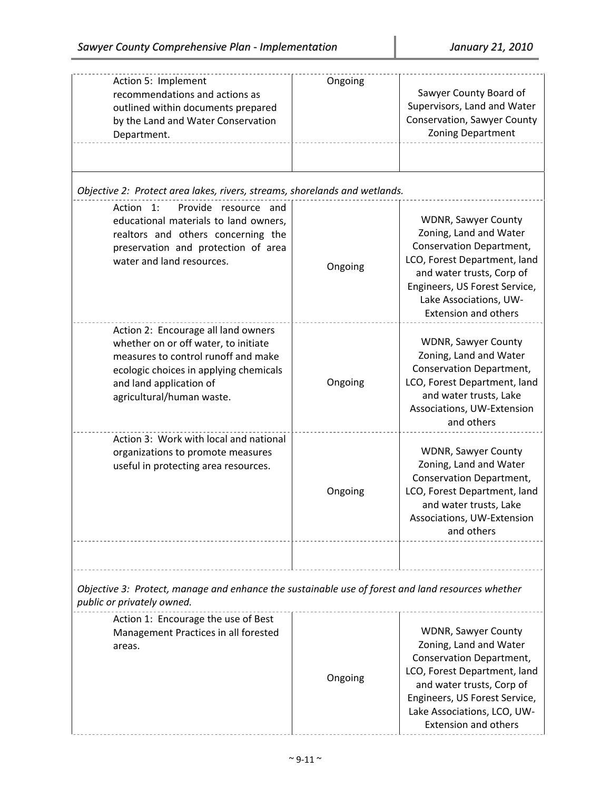| Action 5: Implement<br>recommendations and actions as<br>outlined within documents prepared<br>by the Land and Water Conservation<br>Department.                                                                     | Ongoing | Sawyer County Board of<br>Supervisors, Land and Water<br>Conservation, Sawyer County<br><b>Zoning Department</b>                                                                                                                        |
|----------------------------------------------------------------------------------------------------------------------------------------------------------------------------------------------------------------------|---------|-----------------------------------------------------------------------------------------------------------------------------------------------------------------------------------------------------------------------------------------|
| Objective 2: Protect area lakes, rivers, streams, shorelands and wetlands.                                                                                                                                           |         |                                                                                                                                                                                                                                         |
| Provide resource and<br>Action 1:<br>educational materials to land owners,<br>realtors and others concerning the<br>preservation and protection of area<br>water and land resources.                                 | Ongoing | <b>WDNR, Sawyer County</b><br>Zoning, Land and Water<br>Conservation Department,<br>LCO, Forest Department, land<br>and water trusts, Corp of<br>Engineers, US Forest Service,<br>Lake Associations, UW-<br><b>Extension and others</b> |
| Action 2: Encourage all land owners<br>whether on or off water, to initiate<br>measures to control runoff and make<br>ecologic choices in applying chemicals<br>and land application of<br>agricultural/human waste. | Ongoing | <b>WDNR, Sawyer County</b><br>Zoning, Land and Water<br>Conservation Department,<br>LCO, Forest Department, land<br>and water trusts, Lake<br>Associations, UW-Extension<br>and others                                                  |
| Action 3: Work with local and national<br>organizations to promote measures<br>useful in protecting area resources.                                                                                                  | Ongoing | <b>WDNR, Sawyer County</b><br>Zoning, Land and Water<br>Conservation Department,<br>LCO, Forest Department, land<br>and water trusts, Lake<br>Associations, UW-Extension<br>and others                                                  |
| Objective 3: Protect, manage and enhance the sustainable use of forest and land resources whether<br>public or privately owned.                                                                                      |         |                                                                                                                                                                                                                                         |
| Action 1: Encourage the use of Best<br>Management Practices in all forested<br>areas.                                                                                                                                | Ongoing | WDNR, Sawyer County<br>Zoning, Land and Water<br>Conservation Department,<br>LCO, Forest Department, land<br>and water trusts, Corp of<br>Engineers, US Forest Service,<br>Lake Associations, LCO, UW-<br><b>Extension and others</b>   |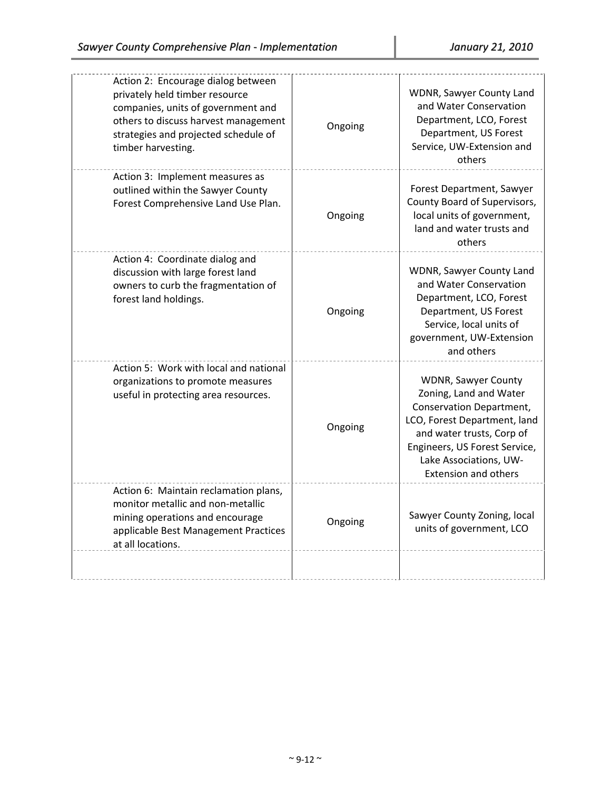| Action 2: Encourage dialog between<br>privately held timber resource<br>companies, units of government and<br>others to discuss harvest management<br>strategies and projected schedule of<br>timber harvesting. | Ongoing | WDNR, Sawyer County Land<br>and Water Conservation<br>Department, LCO, Forest<br>Department, US Forest<br>Service, UW-Extension and<br>others                                                                                           |
|------------------------------------------------------------------------------------------------------------------------------------------------------------------------------------------------------------------|---------|-----------------------------------------------------------------------------------------------------------------------------------------------------------------------------------------------------------------------------------------|
| Action 3: Implement measures as<br>outlined within the Sawyer County<br>Forest Comprehensive Land Use Plan.                                                                                                      | Ongoing | Forest Department, Sawyer<br>County Board of Supervisors,<br>local units of government,<br>land and water trusts and<br>others                                                                                                          |
| Action 4: Coordinate dialog and<br>discussion with large forest land<br>owners to curb the fragmentation of<br>forest land holdings.                                                                             | Ongoing | WDNR, Sawyer County Land<br>and Water Conservation<br>Department, LCO, Forest<br>Department, US Forest<br>Service, local units of<br>government, UW-Extension<br>and others                                                             |
| Action 5: Work with local and national<br>organizations to promote measures<br>useful in protecting area resources.                                                                                              | Ongoing | <b>WDNR, Sawyer County</b><br>Zoning, Land and Water<br>Conservation Department,<br>LCO, Forest Department, land<br>and water trusts, Corp of<br>Engineers, US Forest Service,<br>Lake Associations, UW-<br><b>Extension and others</b> |
| Action 6: Maintain reclamation plans,<br>monitor metallic and non-metallic<br>mining operations and encourage<br>applicable Best Management Practices<br>at all locations.                                       | Ongoing | Sawyer County Zoning, local<br>units of government, LCO                                                                                                                                                                                 |
|                                                                                                                                                                                                                  |         |                                                                                                                                                                                                                                         |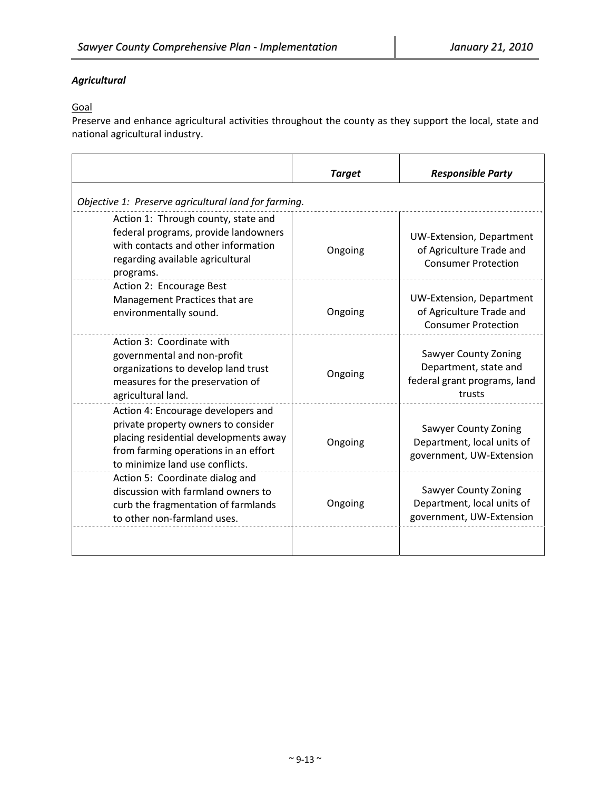# *Agricultural*

# Goal

Preserve and enhance agricultural activities throughout the county as they support the local, state and national agricultural industry.

|                                                                                                                                                                                               | <b>Target</b> | <b>Responsible Party</b>                                                                       |
|-----------------------------------------------------------------------------------------------------------------------------------------------------------------------------------------------|---------------|------------------------------------------------------------------------------------------------|
| Objective 1: Preserve agricultural land for farming.                                                                                                                                          |               |                                                                                                |
| Action 1: Through county, state and<br>federal programs, provide landowners<br>with contacts and other information<br>regarding available agricultural<br>programs.                           | Ongoing       | <b>UW-Extension, Department</b><br>of Agriculture Trade and<br><b>Consumer Protection</b>      |
| Action 2: Encourage Best<br>Management Practices that are<br>environmentally sound.                                                                                                           | Ongoing       | <b>UW-Extension, Department</b><br>of Agriculture Trade and<br><b>Consumer Protection</b>      |
| Action 3: Coordinate with<br>governmental and non-profit<br>organizations to develop land trust<br>measures for the preservation of<br>agricultural land.                                     | Ongoing       | <b>Sawyer County Zoning</b><br>Department, state and<br>federal grant programs, land<br>trusts |
| Action 4: Encourage developers and<br>private property owners to consider<br>placing residential developments away<br>from farming operations in an effort<br>to minimize land use conflicts. | Ongoing       | <b>Sawyer County Zoning</b><br>Department, local units of<br>government, UW-Extension          |
| Action 5: Coordinate dialog and<br>discussion with farmland owners to<br>curb the fragmentation of farmlands<br>to other non-farmland uses.                                                   | Ongoing       | <b>Sawyer County Zoning</b><br>Department, local units of<br>government, UW-Extension          |
|                                                                                                                                                                                               |               |                                                                                                |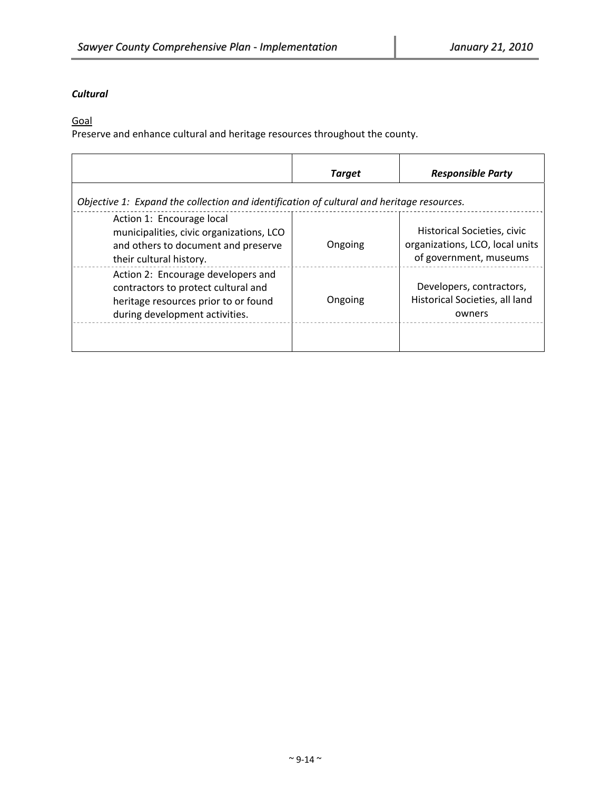# *Cultural*

Goal

Preserve and enhance cultural and heritage resources throughout the county.

|                                                                                                                                                     | <b>Target</b> | <b>Responsible Party</b>                                                                 |
|-----------------------------------------------------------------------------------------------------------------------------------------------------|---------------|------------------------------------------------------------------------------------------|
| Objective 1: Expand the collection and identification of cultural and heritage resources.                                                           |               |                                                                                          |
| Action 1: Encourage local<br>municipalities, civic organizations, LCO<br>and others to document and preserve<br>their cultural history.             | Ongoing       | Historical Societies, civic<br>organizations, LCO, local units<br>of government, museums |
| Action 2: Encourage developers and<br>contractors to protect cultural and<br>heritage resources prior to or found<br>during development activities. | Ongoing       | Developers, contractors,<br>Historical Societies, all land<br>owners                     |
|                                                                                                                                                     |               |                                                                                          |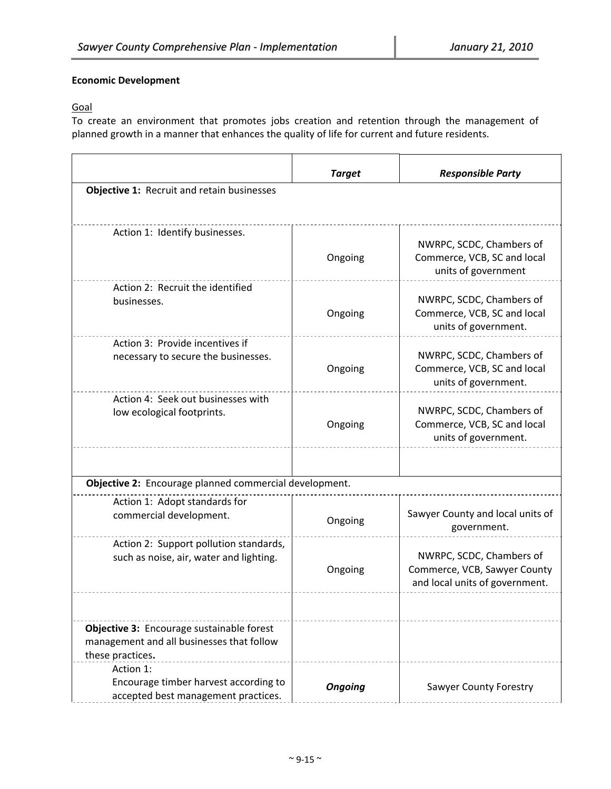## **Economic Development**

# **Goal**

To create an environment that promotes jobs creation and retention through the management of planned growth in a manner that enhances the quality of life for current and future residents.

|                                                                                                            | <b>Target</b>  | <b>Responsible Party</b>                                                                   |
|------------------------------------------------------------------------------------------------------------|----------------|--------------------------------------------------------------------------------------------|
| Objective 1: Recruit and retain businesses                                                                 |                |                                                                                            |
|                                                                                                            |                |                                                                                            |
| Action 1: Identify businesses.                                                                             | Ongoing        | NWRPC, SCDC, Chambers of<br>Commerce, VCB, SC and local<br>units of government             |
| Action 2: Recruit the identified<br>businesses.                                                            | Ongoing        | NWRPC, SCDC, Chambers of<br>Commerce, VCB, SC and local<br>units of government.            |
| Action 3: Provide incentives if<br>necessary to secure the businesses.                                     | Ongoing        | NWRPC, SCDC, Chambers of<br>Commerce, VCB, SC and local<br>units of government.            |
| Action 4: Seek out businesses with<br>low ecological footprints.                                           | Ongoing        | NWRPC, SCDC, Chambers of<br>Commerce, VCB, SC and local<br>units of government.            |
|                                                                                                            |                |                                                                                            |
| Objective 2: Encourage planned commercial development.                                                     |                |                                                                                            |
| Action 1: Adopt standards for<br>commercial development.                                                   | Ongoing        | Sawyer County and local units of<br>government.                                            |
| Action 2: Support pollution standards,<br>such as noise, air, water and lighting.                          | Ongoing        | NWRPC, SCDC, Chambers of<br>Commerce, VCB, Sawyer County<br>and local units of government. |
|                                                                                                            |                |                                                                                            |
| Objective 3: Encourage sustainable forest<br>management and all businesses that follow<br>these practices. |                |                                                                                            |
| Action 1:<br>Encourage timber harvest according to<br>accepted best management practices.                  | <b>Ongoing</b> | <b>Sawyer County Forestry</b>                                                              |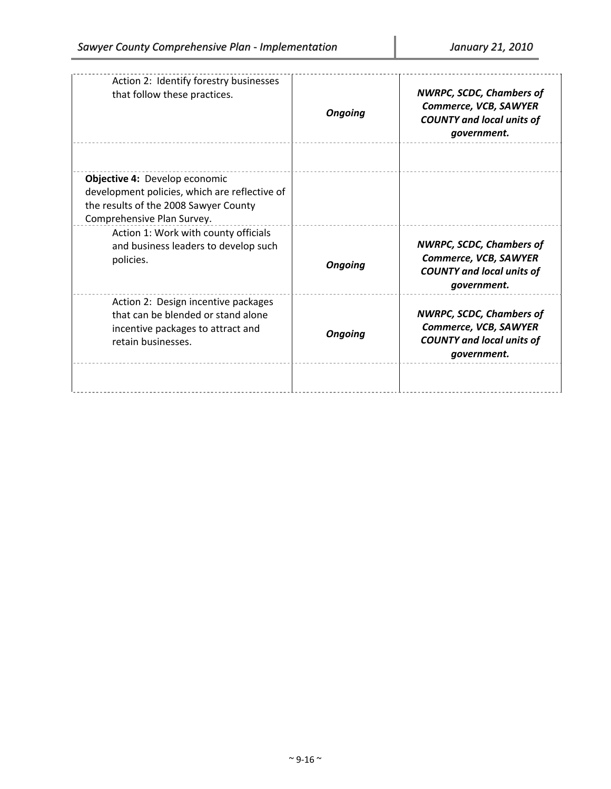| Action 2: Identify forestry businesses<br>that follow these practices.                                                               | <b>Ongoing</b> | <b>NWRPC, SCDC, Chambers of</b><br>Commerce, VCB, SAWYER<br><b>COUNTY and local units of</b><br>government. |
|--------------------------------------------------------------------------------------------------------------------------------------|----------------|-------------------------------------------------------------------------------------------------------------|
| Objective 4: Develop economic                                                                                                        |                |                                                                                                             |
| development policies, which are reflective of<br>the results of the 2008 Sawyer County<br>Comprehensive Plan Survey.                 |                |                                                                                                             |
| Action 1: Work with county officials<br>and business leaders to develop such<br>policies.                                            | <b>Ongoing</b> | <b>NWRPC, SCDC, Chambers of</b><br>Commerce, VCB, SAWYER<br><b>COUNTY and local units of</b><br>government. |
| Action 2: Design incentive packages<br>that can be blended or stand alone<br>incentive packages to attract and<br>retain businesses. | <b>Ongoing</b> | <b>NWRPC, SCDC, Chambers of</b><br>Commerce, VCB, SAWYER<br><b>COUNTY and local units of</b><br>government. |
|                                                                                                                                      |                |                                                                                                             |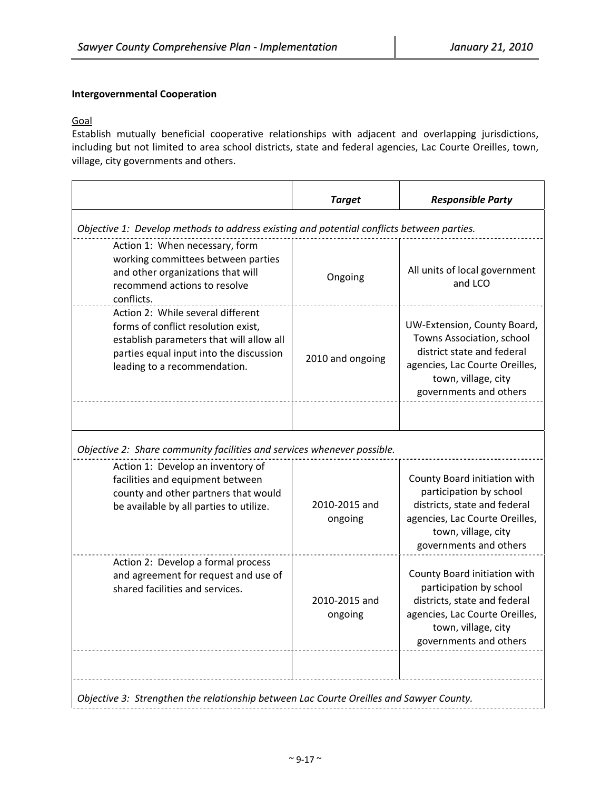# **Intergovernmental Cooperation**

# Goal

Establish mutually beneficial cooperative relationships with adjacent and overlapping jurisdictions, including but not limited to area school districts, state and federal agencies, Lac Courte Oreilles, town, village, city governments and others.

|                                                                                                                                                                                                                                     | <b>Target</b>            | <b>Responsible Party</b>                                                                                                                                                   |  |
|-------------------------------------------------------------------------------------------------------------------------------------------------------------------------------------------------------------------------------------|--------------------------|----------------------------------------------------------------------------------------------------------------------------------------------------------------------------|--|
| Objective 1: Develop methods to address existing and potential conflicts between parties.                                                                                                                                           |                          |                                                                                                                                                                            |  |
| Action 1: When necessary, form<br>working committees between parties<br>and other organizations that will<br>recommend actions to resolve<br>conflicts.                                                                             | Ongoing                  | All units of local government<br>and LCO                                                                                                                                   |  |
| Action 2: While several different<br>forms of conflict resolution exist,<br>establish parameters that will allow all<br>parties equal input into the discussion<br>leading to a recommendation.                                     | 2010 and ongoing         | UW-Extension, County Board,<br>Towns Association, school<br>district state and federal<br>agencies, Lac Courte Oreilles,<br>town, village, city<br>governments and others  |  |
| Objective 2: Share community facilities and services whenever possible.<br>Action 1: Develop an inventory of<br>facilities and equipment between<br>county and other partners that would<br>be available by all parties to utilize. | 2010-2015 and<br>ongoing | County Board initiation with<br>participation by school<br>districts, state and federal<br>agencies, Lac Courte Oreilles,                                                  |  |
|                                                                                                                                                                                                                                     |                          | town, village, city<br>governments and others                                                                                                                              |  |
| Action 2: Develop a formal process<br>and agreement for request and use of<br>shared facilities and services.                                                                                                                       | 2010-2015 and<br>ongoing | County Board initiation with<br>participation by school<br>districts, state and federal<br>agencies, Lac Courte Oreilles,<br>town, village, city<br>governments and others |  |
| Objective 3: Strengthen the relationship between Lac Courte Oreilles and Sawyer County.                                                                                                                                             |                          |                                                                                                                                                                            |  |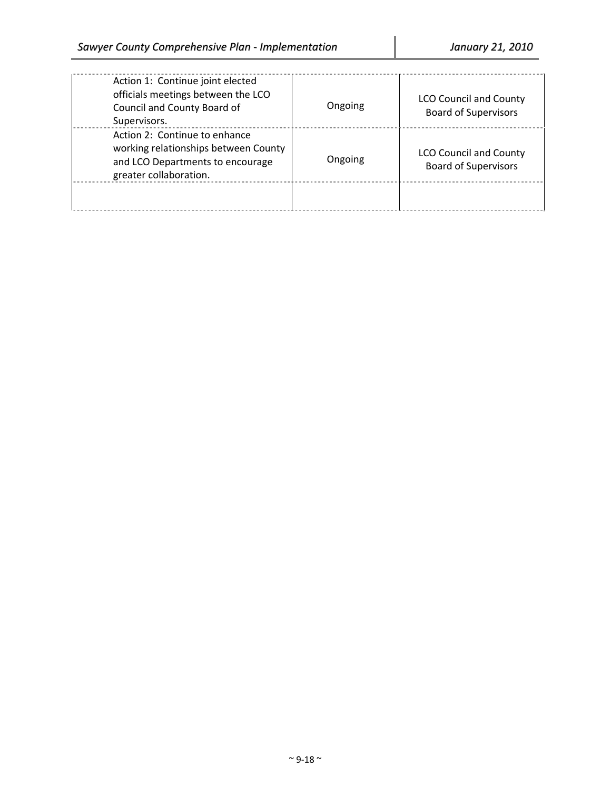| Action 1: Continue joint elected<br>officials meetings between the LCO<br>Council and County Board of<br>Supervisors.               | Ongoing | <b>LCO Council and County</b><br><b>Board of Supervisors</b> |
|-------------------------------------------------------------------------------------------------------------------------------------|---------|--------------------------------------------------------------|
| Action 2: Continue to enhance<br>working relationships between County<br>and LCO Departments to encourage<br>greater collaboration. | Ongoing | <b>LCO Council and County</b><br><b>Board of Supervisors</b> |
|                                                                                                                                     |         |                                                              |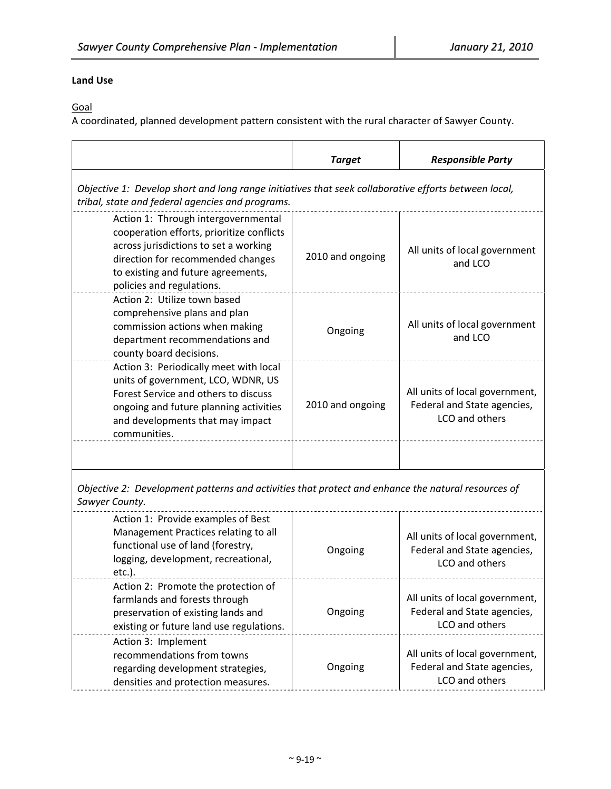# **Land Use**

**Goal** 

A coordinated, planned development pattern consistent with the rural character of Sawyer County.

|                                                                                                                                                                                                                                   | <b>Target</b>    | <b>Responsible Party</b>                                                        |  |
|-----------------------------------------------------------------------------------------------------------------------------------------------------------------------------------------------------------------------------------|------------------|---------------------------------------------------------------------------------|--|
| Objective 1: Develop short and long range initiatives that seek collaborative efforts between local,<br>tribal, state and federal agencies and programs.                                                                          |                  |                                                                                 |  |
| Action 1: Through intergovernmental<br>cooperation efforts, prioritize conflicts<br>across jurisdictions to set a working<br>direction for recommended changes<br>to existing and future agreements,<br>policies and regulations. | 2010 and ongoing | All units of local government<br>and LCO                                        |  |
| Action 2: Utilize town based<br>comprehensive plans and plan<br>commission actions when making<br>department recommendations and<br>county board decisions.                                                                       | Ongoing          | All units of local government<br>and LCO                                        |  |
| Action 3: Periodically meet with local<br>units of government, LCO, WDNR, US<br>Forest Service and others to discuss<br>ongoing and future planning activities<br>and developments that may impact<br>communities.                | 2010 and ongoing | All units of local government,<br>Federal and State agencies,<br>LCO and others |  |
| Objective 2: Development patterns and activities that protect and enhance the natural resources of<br>Sawyer County.                                                                                                              |                  |                                                                                 |  |
| Action 1: Provide examples of Best<br>Management Practices relating to all<br>functional use of land (forestry,<br>logging, development, recreational,<br>etc.).                                                                  | Ongoing          | All units of local government,<br>Federal and State agencies,<br>LCO and others |  |
| Action 2: Promote the protection of<br>farmlands and forests through<br>preservation of existing lands and<br>existing or future land use regulations.                                                                            | Ongoing          | All units of local government,<br>Federal and State agencies,<br>LCO and others |  |
| Action 3: Implement<br>recommendations from towns<br>regarding development strategies,<br>densities and protection measures.                                                                                                      | Ongoing          | All units of local government,<br>Federal and State agencies,<br>LCO and others |  |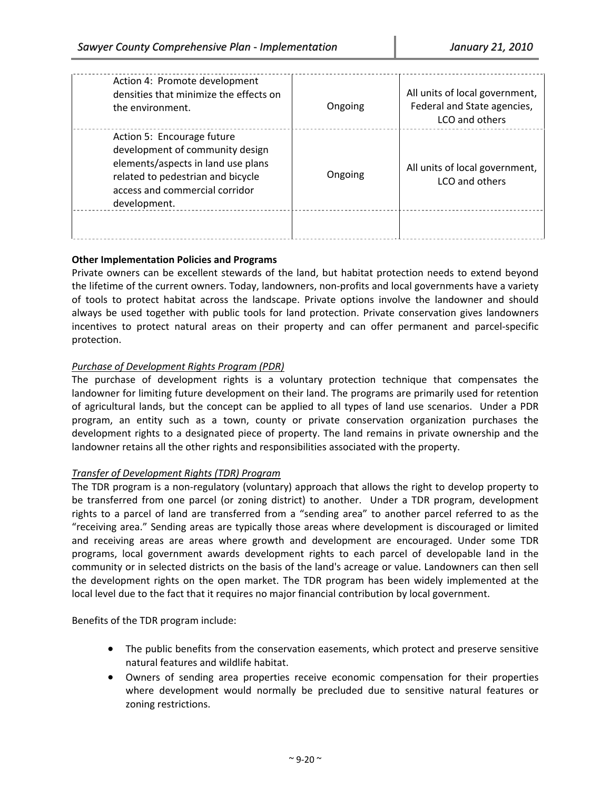| Action 4: Promote development<br>densities that minimize the effects on<br>the environment.                                                                                                | Ongoing | All units of local government,<br>Federal and State agencies,<br>LCO and others |
|--------------------------------------------------------------------------------------------------------------------------------------------------------------------------------------------|---------|---------------------------------------------------------------------------------|
| Action 5: Encourage future<br>development of community design<br>elements/aspects in land use plans<br>related to pedestrian and bicycle<br>access and commercial corridor<br>development. | Ongoing | All units of local government,<br>LCO and others                                |
|                                                                                                                                                                                            |         |                                                                                 |

## **Other Implementation Policies and Programs**

Private owners can be excellent stewards of the land, but habitat protection needs to extend beyond the lifetime of the current owners. Today, landowners, non‐profits and local governments have a variety of tools to protect habitat across the landscape. Private options involve the landowner and should always be used together with public tools for land protection. Private conservation gives landowners incentives to protect natural areas on their property and can offer permanent and parcel‐specific protection.

# *Purchase of Development Rights Program (PDR)*

The purchase of development rights is a voluntary protection technique that compensates the landowner for limiting future development on their land. The programs are primarily used for retention of agricultural lands, but the concept can be applied to all types of land use scenarios. Under a PDR program, an entity such as a town, county or private conservation organization purchases the development rights to a designated piece of property. The land remains in private ownership and the landowner retains all the other rights and responsibilities associated with the property.

## *Transfer of Development Rights (TDR) Program*

The TDR program is a non-regulatory (voluntary) approach that allows the right to develop property to be transferred from one parcel (or zoning district) to another. Under a TDR program, development rights to a parcel of land are transferred from a "sending area" to another parcel referred to as the "receiving area." Sending areas are typically those areas where development is discouraged or limited and receiving areas are areas where growth and development are encouraged. Under some TDR programs, local government awards development rights to each parcel of developable land in the community or in selected districts on the basis of the land's acreage or value. Landowners can then sell the development rights on the open market. The TDR program has been widely implemented at the local level due to the fact that it requires no major financial contribution by local government.

Benefits of the TDR program include:

- The public benefits from the conservation easements, which protect and preserve sensitive natural features and wildlife habitat.
- Owners of sending area properties receive economic compensation for their properties where development would normally be precluded due to sensitive natural features or zoning restrictions.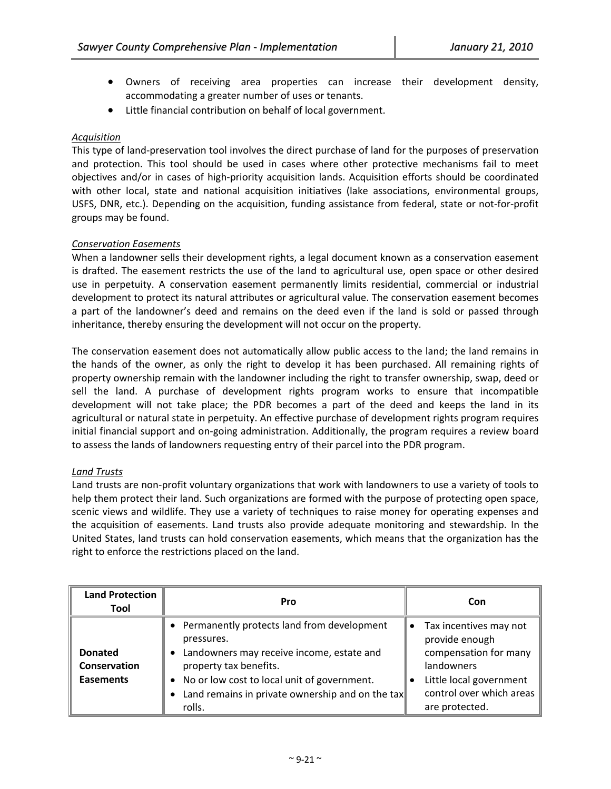- Owners of receiving area properties can increase their development density, accommodating a greater number of uses or tenants.
- Little financial contribution on behalf of local government.

## *Acquisition*

This type of land‐preservation tool involves the direct purchase of land for the purposes of preservation and protection. This tool should be used in cases where other protective mechanisms fail to meet objectives and/or in cases of high‐priority acquisition lands. Acquisition efforts should be coordinated with other local, state and national acquisition initiatives (lake associations, environmental groups, USFS, DNR, etc.). Depending on the acquisition, funding assistance from federal, state or not‐for‐profit groups may be found.

## *Conservation Easements*

When a landowner sells their development rights, a legal document known as a conservation easement is drafted. The easement restricts the use of the land to agricultural use, open space or other desired use in perpetuity. A conservation easement permanently limits residential, commercial or industrial development to protect its natural attributes or agricultural value. The conservation easement becomes a part of the landowner's deed and remains on the deed even if the land is sold or passed through inheritance, thereby ensuring the development will not occur on the property.

The conservation easement does not automatically allow public access to the land; the land remains in the hands of the owner, as only the right to develop it has been purchased. All remaining rights of property ownership remain with the landowner including the right to transfer ownership, swap, deed or sell the land. A purchase of development rights program works to ensure that incompatible development will not take place; the PDR becomes a part of the deed and keeps the land in its agricultural or natural state in perpetuity. An effective purchase of development rights program requires initial financial support and on‐going administration. Additionally, the program requires a review board to assess the lands of landowners requesting entry of their parcel into the PDR program.

## *Land Trusts*

Land trusts are non‐profit voluntary organizations that work with landowners to use a variety of tools to help them protect their land. Such organizations are formed with the purpose of protecting open space, scenic views and wildlife. They use a variety of techniques to raise money for operating expenses and the acquisition of easements. Land trusts also provide adequate monitoring and stewardship. In the United States, land trusts can hold conservation easements, which means that the organization has the right to enforce the restrictions placed on the land.

| <b>Land Protection</b><br>Tool                     | Pro                                                                                                                                                                                                                                              | Con                                                                                                                                                      |
|----------------------------------------------------|--------------------------------------------------------------------------------------------------------------------------------------------------------------------------------------------------------------------------------------------------|----------------------------------------------------------------------------------------------------------------------------------------------------------|
| <b>Donated</b><br>Conservation<br><b>Easements</b> | • Permanently protects land from development<br>pressures.<br>Landowners may receive income, estate and<br>property tax benefits.<br>• No or low cost to local unit of government.<br>Land remains in private ownership and on the tax<br>rolls. | Tax incentives may not<br>provide enough<br>compensation for many<br>landowners<br>Little local government<br>control over which areas<br>are protected. |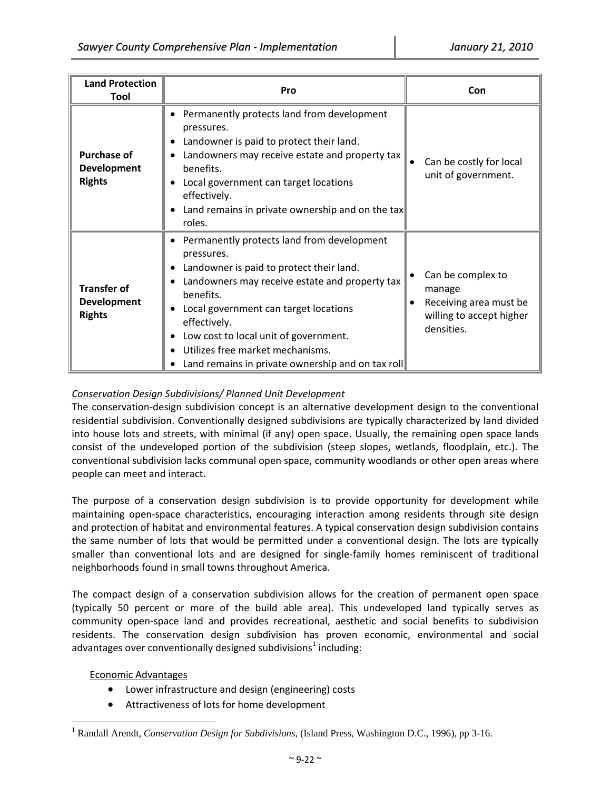| <b>Land Protection</b><br>Tool                            | Pro                                                                                                                                                                                                                                                                                                                                                                                                                          | Con                                                                                             |
|-----------------------------------------------------------|------------------------------------------------------------------------------------------------------------------------------------------------------------------------------------------------------------------------------------------------------------------------------------------------------------------------------------------------------------------------------------------------------------------------------|-------------------------------------------------------------------------------------------------|
| <b>Purchase of</b><br><b>Development</b><br><b>Rights</b> | Permanently protects land from development<br>$\bullet$<br>pressures.<br>Landowner is paid to protect their land.<br>Landowners may receive estate and property tax<br>benefits.<br>Local government can target locations<br>effectively.<br>Land remains in private ownership and on the tax<br>$\bullet$<br>roles.                                                                                                         | Can be costly for local<br>unit of government.                                                  |
| <b>Transfer of</b><br><b>Development</b><br><b>Rights</b> | Permanently protects land from development<br>$\bullet$<br>pressures.<br>Landowner is paid to protect their land.<br>٠<br>Landowners may receive estate and property tax<br>$\bullet$<br>benefits.<br>Local government can target locations<br>$\bullet$<br>effectively.<br>Low cost to local unit of government.<br>٠<br>Utilizes free market mechanisms.<br>$\bullet$<br>Land remains in private ownership and on tax roll | Can be complex to<br>manage<br>Receiving area must be<br>willing to accept higher<br>densities. |

# *Conservation Design Subdivisions/ Planned Unit Development*

The conservation‐design subdivision concept is an alternative development design to the conventional residential subdivision. Conventionally designed subdivisions are typically characterized by land divided into house lots and streets, with minimal (if any) open space. Usually, the remaining open space lands consist of the undeveloped portion of the subdivision (steep slopes, wetlands, floodplain, etc.). The conventional subdivision lacks communal open space, community woodlands or other open areas where people can meet and interact.

The purpose of a conservation design subdivision is to provide opportunity for development while maintaining open‐space characteristics, encouraging interaction among residents through site design and protection of habitat and environmental features. A typical conservation design subdivision contains the same number of lots that would be permitted under a conventional design. The lots are typically smaller than conventional lots and are designed for single-family homes reminiscent of traditional neighborhoods found in small towns throughout America.

The compact design of a conservation subdivision allows for the creation of permanent open space (typically 50 percent or more of the build able area). This undeveloped land typically serves as community open‐space land and provides recreational, aesthetic and social benefits to subdivision residents. The conservation design subdivision has proven economic, environmental and social advantages over conventionally designed subdivisions<sup>1</sup> including:

## Economic Advantages

 $\overline{a}$ 

- Lower infrastructure and design (engineering) costs
- Attractiveness of lots for home development

<sup>&</sup>lt;sup>1</sup> Randall Arendt, *Conservation Design for Subdivisions*, (Island Press, Washington D.C., 1996), pp 3-16.